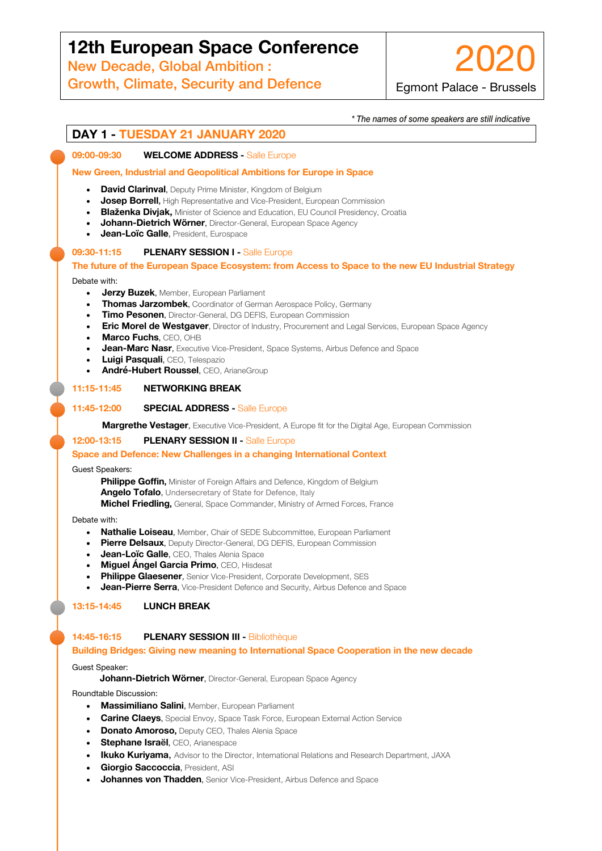# *\* The names of some speakers are still indicative* **12th European Space Conference**

**DECAY, CORE AND THE 2020** New Decade, Global Ambition :

Growth, Climate, Security and Defence

2020 Egmont Palace - Brussels

*\* The names of some speakers are still indicative*

# **DAY 1 - TUESDAY 21 JANUARY 2020**

## **09:00-09:30 WELCOME ADDRESS -** Salle Europe

## **New Green, Industrial and Geopolitical Ambitions for Europe in Space**

- **David Clarinval**, Deputy Prime Minister, Kingdom of Belgium
- **Josep Borrell,** High Representative and Vice-President, European Commission
- **Blaženka Divjak,** Minister of Science and Education, EU Council Presidency, Croatia
- **Johann-Dietrich Wörner**, Director-General, European Space Agency
- **Jean-Loïc Galle**, President, Eurospace

#### **09:30-11:15 PLENARY SESSION I -** Salle Europe

## **The future of the European Space Ecosystem: from Access to Space to the new EU Industrial Strategy** Debate with:

- **Jerzy Buzek**, Member, European Parliament
- **Thomas Jarzombek**, Coordinator of German Aerospace Policy, Germany
- **Timo Pesonen**, Director-General, DG DEFIS, European Commission
- **Eric Morel de Westgaver**, Director of Industry, Procurement and Legal Services, European Space Agency
- **Marco Fuchs**, CEO, OHB
- **Jean-Marc Nasr**, Executive Vice-President, Space Systems, Airbus Defence and Space
- **Luigi Pasquali**, CEO, Telespazio
- **André-Hubert Roussel**, CEO, ArianeGroup

## **11:15-11:45 NETWORKING BREAK**

#### **11:45-12:00 SPECIAL ADDRESS -** Salle Europe

**Margrethe Vestager**, Executive Vice-President, A Europe fit for the Digital Age, European Commission

#### **12:00-13:15 PLENARY SESSION II -** Salle Europe

#### **Space and Defence: New Challenges in a changing International Context**

Guest Speakers:

**Philippe Goffin, Minister of Foreign Affairs and Defence, Kingdom of Belgium Angelo Tofalo**, Undersecretary of State for Defence, Italy

**Michel Friedling,** General, Space Commander, Ministry of Armed Forces, France

#### Debate with:

- **Nathalie Loiseau**, Member, Chair of SEDE Subcommittee, European Parliament
- **Pierre Delsaux**, Deputy Director-General, DG DEFIS, European Commission
- **Jean-Loïc Galle**, CEO, Thales Alenia Space
- **Miguel Ángel Garcia Primo**, CEO, Hisdesat
- **Philippe Glaesener**, Senior Vice-President, Corporate Development, SES
- **Jean-Pierre Serra**, Vice-President Defence and Security, Airbus Defence and Space

## **13:15-14:45 LUNCH BREAK**

## **14:45-16:15 PLENARY SESSION III -** Bibliothèque

#### **Building Bridges: Giving new meaning to International Space Cooperation in the new decade**

#### Guest Speaker:

 **Johann-Dietrich Wörner**, Director-General, European Space Agency

Roundtable Discussion:

- **Massimiliano Salini**, Member, European Parliament
- **Carine Claeys**, Special Envoy, Space Task Force, European External Action Service
- **Donato Amoroso, Deputy CEO, Thales Alenia Space**
- **Stephane Israël**, CEO, Arianespace
- **Ikuko Kuriyama**, Advisor to the Director, International Relations and Research Department, JAXA
- **Giorgio Saccoccia**, President, ASI
- **Johannes von Thadden**, Senior Vice-President, Airbus Defence and Space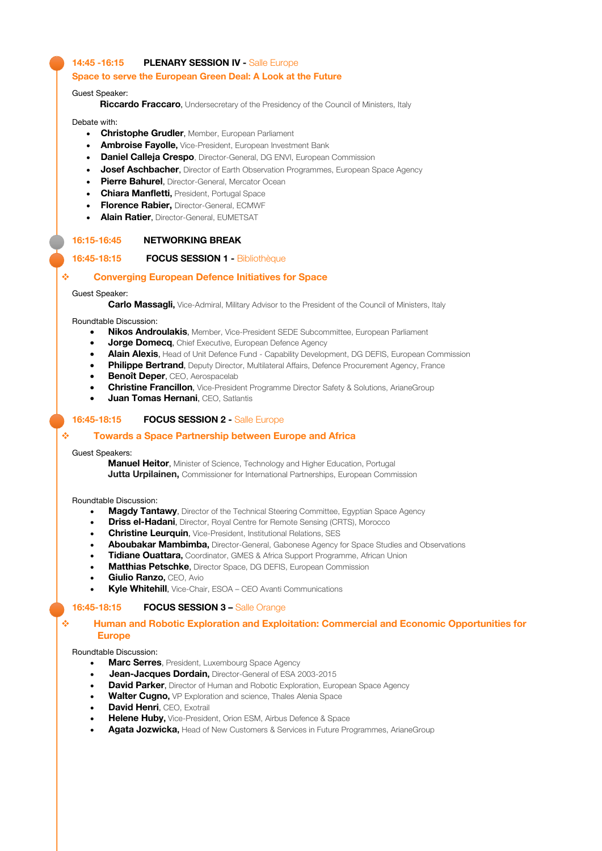## **14:45 -16:15 PLENARY SESSION IV -** Salle Europe

#### **Space to serve the European Green Deal: A Look at the Future**

Guest Speaker:

 **Riccardo Fraccaro**, Undersecretary of the Presidency of the Council of Ministers, Italy

Debate with:

- **Christophe Grudler**, Member, European Parliament
- **Ambroise Fayolle,** Vice-President, European Investment Bank
- **Daniel Calleja Crespo**, Director-General, DG ENVI, European Commission
- **Josef Aschbacher**, Director of Earth Observation Programmes, European Space Agency
- **Pierre Bahurel**, Director-General, Mercator Ocean
- **Chiara Manfletti,** President, Portugal Space
- **Florence Rabier,** Director-General, ECMWF
- **Alain Ratier**, Director-General, EUMETSAT

#### **16:15-16:45 NETWORKING BREAK**

## **16:45-18:15 FOCUS SESSION 1 -** Bibliothèque

## v **Converging European Defence Initiatives for Space**

#### Guest Speaker:

**Carlo Massagli,** Vice-Admiral, Military Advisor to the President of the Council of Ministers, Italy

#### Roundtable Discussion:

- **Nikos Androulakis**, Member, Vice-President SEDE Subcommittee, European Parliament
- **Jorge Domecq**, Chief Executive, European Defence Agency
- **Alain Alexis**, Head of Unit Defence Fund Capability Development, DG DEFIS, European Commission
- **Philippe Bertrand**, Deputy Director, Multilateral Affairs, Defence Procurement Agency, France
- **Benoît Deper, CEO, Aerospacelab**
- **Christine Francillon**, Vice-President Programme Director Safety & Solutions, ArianeGroup
- **Juan Tomas Hernani**, CEO, Satlantis

#### **16:45-18:15 FOCUS SESSION 2 -** Salle Europe

#### v **Towards a Space Partnership between Europe and Africa**

#### Guest Speakers:

 **Manuel Heitor**, Minister of Science, Technology and Higher Education, Portugal **Jutta Urpilainen, Commissioner for International Partnerships, European Commission** 

#### Roundtable Discussion:

- **Magdy Tantawy**, Director of the Technical Steering Committee, Egyptian Space Agency
- **Driss el-Hadani**, Director, Royal Centre for Remote Sensing (CRTS), Morocco
- **Christine Leurquin**, Vice-President, Institutional Relations, SES
- **Aboubakar Mambimba,** Director-General, Gabonese Agency for Space Studies and Observations
- **Tidiane Ouattara,** Coordinator, GMES & Africa Support Programme, African Union
- **Matthias Petschke**, Director Space, DG DEFIS, European Commission
- **Giulio Ranzo,** CEO, Avio
- **Kyle Whitehill**, Vice-Chair, ESOA CEO Avanti Communications

#### **16:45-18:15 FOCUS SESSION 3 –** Salle Orange

#### v **Human and Robotic Exploration and Exploitation: Commercial and Economic Opportunities for Europe**

#### Roundtable Discussion:

- **Marc Serres**, President, Luxembourg Space Agency
- • **Jean-Jacques Dordain,** Director-General of ESA 2003-2015
- **David Parker**, Director of Human and Robotic Exploration, European Space Agency
- **Walter Cugno,** VP Exploration and science, Thales Alenia Space
- **David Henri**, CFO, Exotrail
- **Helene Huby,** Vice-President, Orion ESM, Airbus Defence & Space
- **Agata Jozwicka,** Head of New Customers & Services in Future Programmes, ArianeGroup